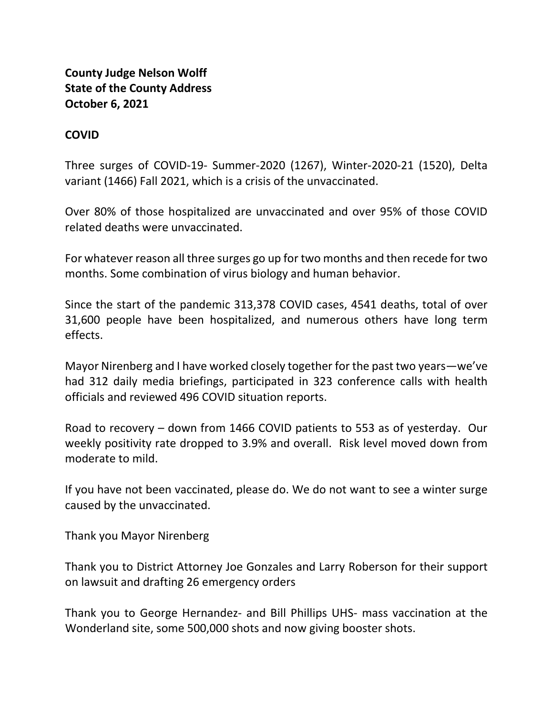**County Judge Nelson Wolff State of the County Address October 6, 2021**

#### **COVID**

Three surges of COVID-19- Summer-2020 (1267), Winter-2020-21 (1520), Delta variant (1466) Fall 2021, which is a crisis of the unvaccinated.

Over 80% of those hospitalized are unvaccinated and over 95% of those COVID related deaths were unvaccinated.

For whatever reason all three surges go up for two months and then recede for two months. Some combination of virus biology and human behavior.

Since the start of the pandemic 313,378 COVID cases, 4541 deaths, total of over 31,600 people have been hospitalized, and numerous others have long term effects.

Mayor Nirenberg and I have worked closely together for the past two years—we've had 312 daily media briefings, participated in 323 conference calls with health officials and reviewed 496 COVID situation reports.

Road to recovery – down from 1466 COVID patients to 553 as of yesterday. Our weekly positivity rate dropped to 3.9% and overall. Risk level moved down from moderate to mild.

If you have not been vaccinated, please do. We do not want to see a winter surge caused by the unvaccinated.

Thank you Mayor Nirenberg

Thank you to District Attorney Joe Gonzales and Larry Roberson for their support on lawsuit and drafting 26 emergency orders

Thank you to George Hernandez- and Bill Phillips UHS- mass vaccination at the Wonderland site, some 500,000 shots and now giving booster shots.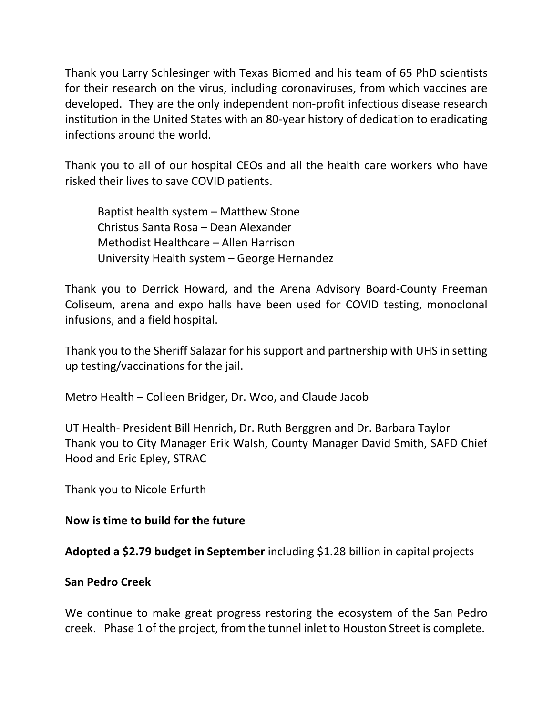Thank you Larry Schlesinger with Texas Biomed and his team of 65 PhD scientists for their research on the virus, including coronaviruses, from which vaccines are developed. They are the only independent non-profit infectious disease research institution in the United States with an 80-year history of dedication to eradicating infections around the world.

Thank you to all of our hospital CEOs and all the health care workers who have risked their lives to save COVID patients.

Baptist health system – Matthew Stone Christus Santa Rosa – Dean Alexander Methodist Healthcare – Allen Harrison University Health system – George Hernandez

Thank you to Derrick Howard, and the Arena Advisory Board-County Freeman Coliseum, arena and expo halls have been used for COVID testing, monoclonal infusions, and a field hospital.

Thank you to the Sheriff Salazar for his support and partnership with UHS in setting up testing/vaccinations for the jail.

Metro Health – Colleen Bridger, Dr. Woo, and Claude Jacob

UT Health- President Bill Henrich, Dr. Ruth Berggren and Dr. Barbara Taylor Thank you to City Manager Erik Walsh, County Manager David Smith, SAFD Chief Hood and Eric Epley, STRAC

Thank you to Nicole Erfurth

#### **Now is time to build for the future**

**Adopted a \$2.79 budget in September** including \$1.28 billion in capital projects

#### **San Pedro Creek**

We continue to make great progress restoring the ecosystem of the San Pedro creek. Phase 1 of the project, from the tunnel inlet to Houston Street is complete.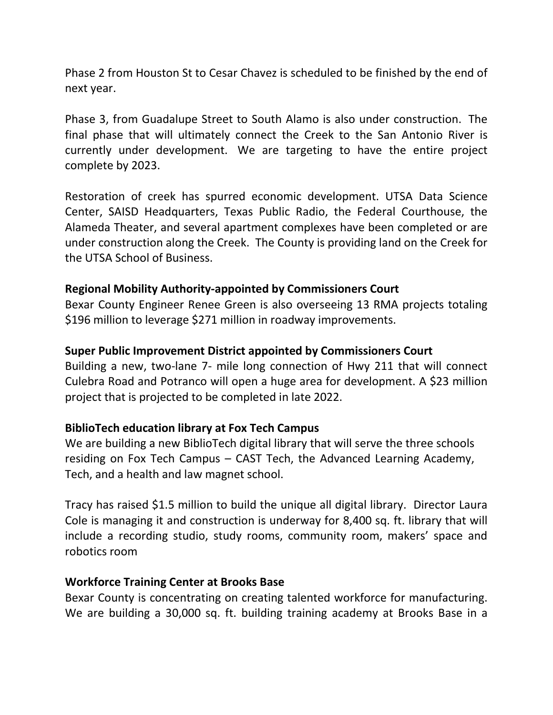Phase 2 from Houston St to Cesar Chavez is scheduled to be finished by the end of next year.

Phase 3, from Guadalupe Street to South Alamo is also under construction. The final phase that will ultimately connect the Creek to the San Antonio River is currently under development. We are targeting to have the entire project complete by 2023.

Restoration of creek has spurred economic development. UTSA Data Science Center, SAISD Headquarters, Texas Public Radio, the Federal Courthouse, the Alameda Theater, and several apartment complexes have been completed or are under construction along the Creek. The County is providing land on the Creek for the UTSA School of Business.

### **Regional Mobility Authority-appointed by Commissioners Court**

Bexar County Engineer Renee Green is also overseeing 13 RMA projects totaling \$196 million to leverage \$271 million in roadway improvements.

#### **Super Public Improvement District appointed by Commissioners Court**

Building a new, two-lane 7- mile long connection of Hwy 211 that will connect Culebra Road and Potranco will open a huge area for development. A \$23 million project that is projected to be completed in late 2022.

# **BiblioTech education library at Fox Tech Campus**

We are building a new BiblioTech digital library that will serve the three schools residing on Fox Tech Campus – CAST Tech, the Advanced Learning Academy, Tech, and a health and law magnet school.

Tracy has raised \$1.5 million to build the unique all digital library. Director Laura Cole is managing it and construction is underway for 8,400 sq. ft. library that will include a recording studio, study rooms, community room, makers' space and robotics room

#### **Workforce Training Center at Brooks Base**

Bexar County is concentrating on creating talented workforce for manufacturing. We are building a 30,000 sq. ft. building training academy at Brooks Base in a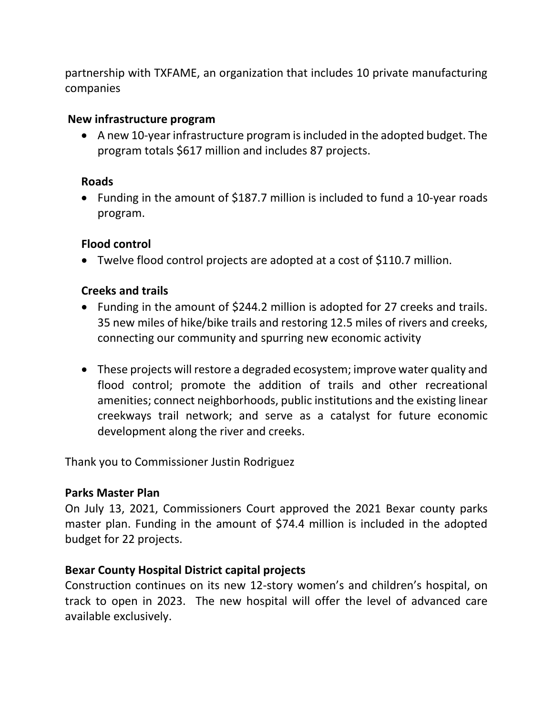partnership with TXFAME, an organization that includes 10 private manufacturing companies

#### **New infrastructure program**

• A new 10-year infrastructure program is included in the adopted budget. The program totals \$617 million and includes 87 projects.

### **Roads**

• Funding in the amount of \$187.7 million is included to fund a 10-year roads program.

# **Flood control**

• Twelve flood control projects are adopted at a cost of \$110.7 million.

# **Creeks and trails**

- Funding in the amount of \$244.2 million is adopted for 27 creeks and trails. 35 new miles of hike/bike trails and restoring 12.5 miles of rivers and creeks, connecting our community and spurring new economic activity
- These projects will restore a degraded ecosystem; improve water quality and flood control; promote the addition of trails and other recreational amenities; connect neighborhoods, public institutions and the existing linear creekways trail network; and serve as a catalyst for future economic development along the river and creeks.

Thank you to Commissioner Justin Rodriguez

# **Parks Master Plan**

On July 13, 2021, Commissioners Court approved the 2021 Bexar county parks master plan. Funding in the amount of \$74.4 million is included in the adopted budget for 22 projects.

# **Bexar County Hospital District capital projects**

Construction continues on its new 12-story women's and children's hospital, on track to open in 2023. The new hospital will offer the level of advanced care available exclusively.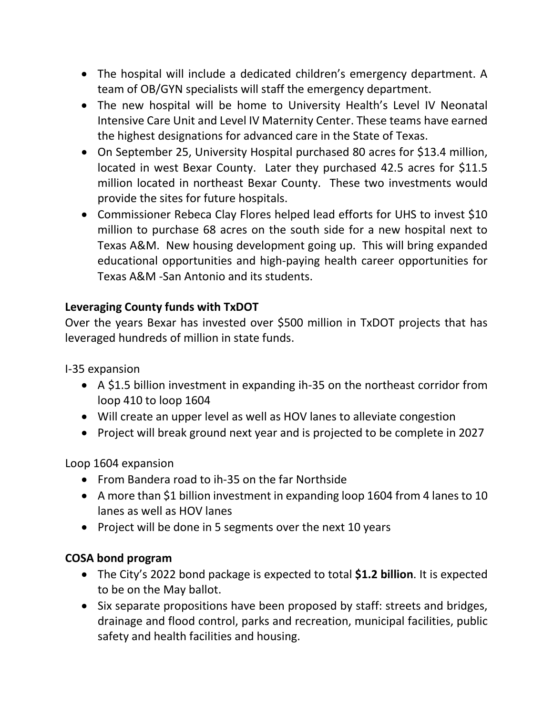- The hospital will include a dedicated children's emergency department. A team of OB/GYN specialists will staff the emergency department.
- The new hospital will be home to University Health's Level IV Neonatal Intensive Care Unit and Level IV Maternity Center. These teams have earned the highest designations for advanced care in the State of Texas.
- On September 25, University Hospital purchased 80 acres for \$13.4 million, located in west Bexar County. Later they purchased 42.5 acres for \$11.5 million located in northeast Bexar County. These two investments would provide the sites for future hospitals.
- Commissioner Rebeca Clay Flores helped lead efforts for UHS to invest \$10 million to purchase 68 acres on the south side for a new hospital next to Texas A&M. New housing development going up. This will bring expanded educational opportunities and high-paying health career opportunities for Texas A&M -San Antonio and its students.

# **Leveraging County funds with TxDOT**

Over the years Bexar has invested over \$500 million in TxDOT projects that has leveraged hundreds of million in state funds.

I-35 expansion

- A \$1.5 billion investment in expanding ih-35 on the northeast corridor from loop 410 to loop 1604
- Will create an upper level as well as HOV lanes to alleviate congestion
- Project will break ground next year and is projected to be complete in 2027

Loop 1604 expansion

- From Bandera road to ih-35 on the far Northside
- A more than \$1 billion investment in expanding loop 1604 from 4 lanes to 10 lanes as well as HOV lanes
- Project will be done in 5 segments over the next 10 years

# **COSA bond program**

- The City's 2022 bond package is expected to total **\$1.2 billion**. It is expected to be on the May ballot.
- Six separate propositions have been proposed by staff: streets and bridges, drainage and flood control, parks and recreation, municipal facilities, public safety and health facilities and housing.